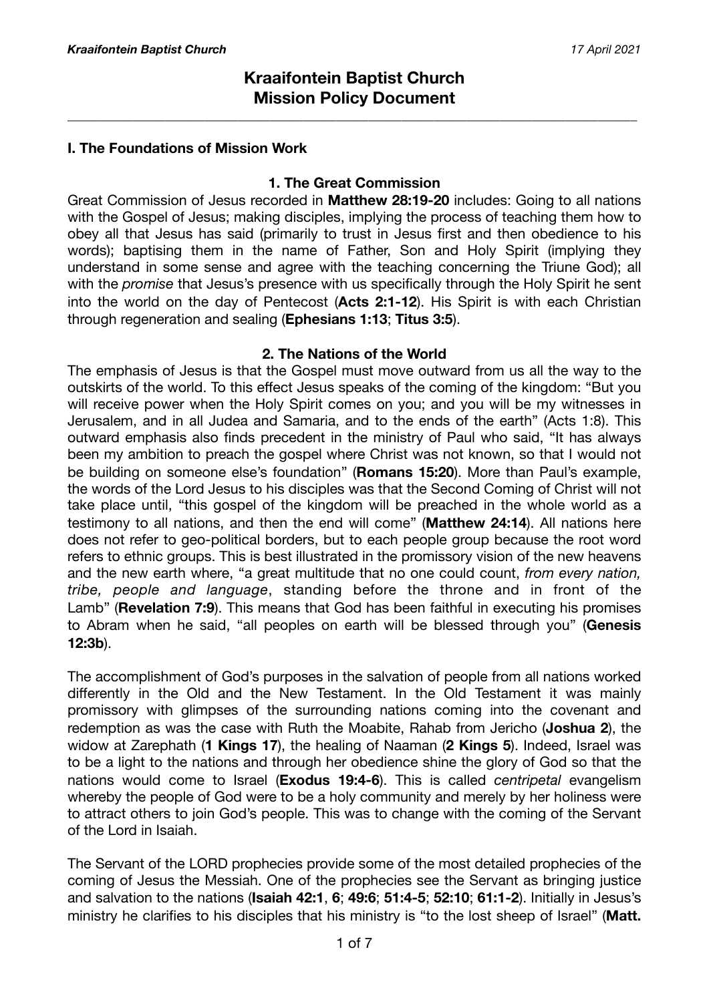# **I. The Foundations of Mission Work**

# **1. The Great Commission**

Great Commission of Jesus recorded in **Matthew 28:19-20** includes: Going to all nations with the Gospel of Jesus; making disciples, implying the process of teaching them how to obey all that Jesus has said (primarily to trust in Jesus first and then obedience to his words); baptising them in the name of Father, Son and Holy Spirit (implying they understand in some sense and agree with the teaching concerning the Triune God); all with the *promise* that Jesus's presence with us specifically through the Holy Spirit he sent into the world on the day of Pentecost (**Acts 2:1-12**). His Spirit is with each Christian through regeneration and sealing (**Ephesians 1:13**; **Titus 3:5**).

### **2. The Nations of the World**

The emphasis of Jesus is that the Gospel must move outward from us all the way to the outskirts of the world. To this effect Jesus speaks of the coming of the kingdom: "But you will receive power when the Holy Spirit comes on you; and you will be my witnesses in Jerusalem, and in all Judea and Samaria, and to the ends of the earth" (Acts 1:8). This outward emphasis also finds precedent in the ministry of Paul who said, "It has always been my ambition to preach the gospel where Christ was not known, so that I would not be building on someone else's foundation" (**Romans 15:20**). More than Paul's example, the words of the Lord Jesus to his disciples was that the Second Coming of Christ will not take place until, "this gospel of the kingdom will be preached in the whole world as a testimony to all nations, and then the end will come" (**Matthew 24:14**). All nations here does not refer to geo-political borders, but to each people group because the root word refers to ethnic groups. This is best illustrated in the promissory vision of the new heavens and the new earth where, "a great multitude that no one could count, *from every nation, tribe, people and language*, standing before the throne and in front of the Lamb" (**Revelation 7:9**). This means that God has been faithful in executing his promises to Abram when he said, "all peoples on earth will be blessed through you" (**Genesis 12:3b**).

The accomplishment of God's purposes in the salvation of people from all nations worked differently in the Old and the New Testament. In the Old Testament it was mainly promissory with glimpses of the surrounding nations coming into the covenant and redemption as was the case with Ruth the Moabite, Rahab from Jericho (**Joshua 2**), the widow at Zarephath (**1 Kings 17**), the healing of Naaman (**2 Kings 5**). Indeed, Israel was to be a light to the nations and through her obedience shine the glory of God so that the nations would come to Israel (**Exodus 19:4-6**). This is called *centripetal* evangelism whereby the people of God were to be a holy community and merely by her holiness were to attract others to join God's people. This was to change with the coming of the Servant of the Lord in Isaiah.

The Servant of the LORD prophecies provide some of the most detailed prophecies of the coming of Jesus the Messiah. One of the prophecies see the Servant as bringing justice and salvation to the nations (**Isaiah 42:1**, **6**; **49:6**; **51:4-5**; **52:10**; **61:1-2**). Initially in Jesus's ministry he clarifies to his disciples that his ministry is "to the lost sheep of Israel" (**Matt.**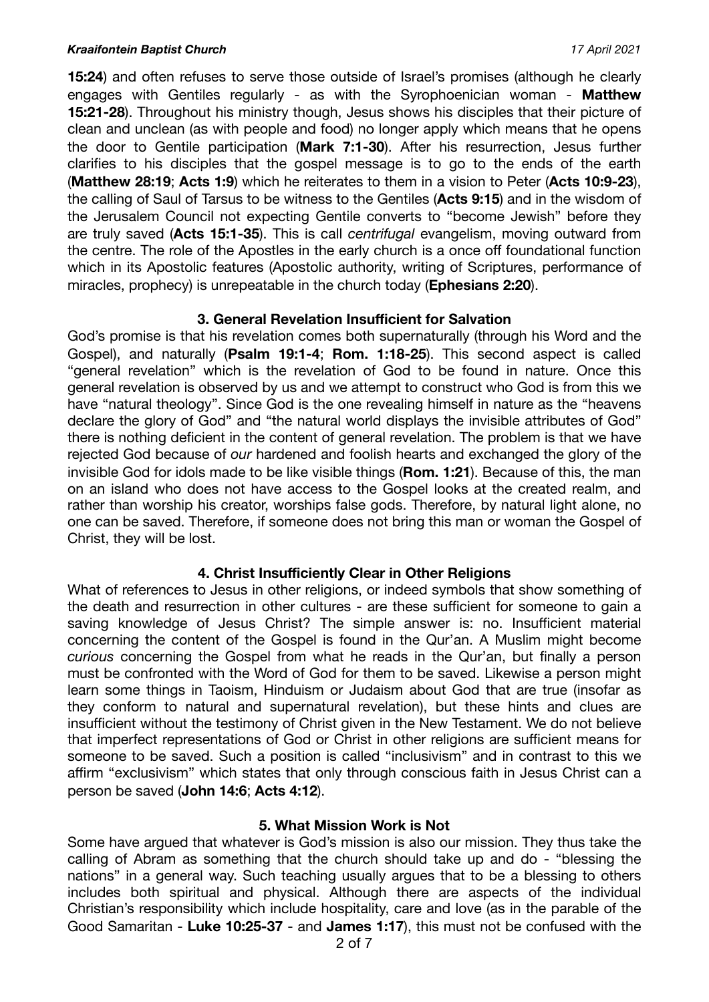#### *Kraaifontein Baptist Church 17 April 2021*

**15:24**) and often refuses to serve those outside of Israel's promises (although he clearly engages with Gentiles regularly - as with the Syrophoenician woman - **Matthew 15:21-28**). Throughout his ministry though, Jesus shows his disciples that their picture of clean and unclean (as with people and food) no longer apply which means that he opens the door to Gentile participation (**Mark 7:1-30**). After his resurrection, Jesus further clarifies to his disciples that the gospel message is to go to the ends of the earth (**Matthew 28:19**; **Acts 1:9**) which he reiterates to them in a vision to Peter (**Acts 10:9-23**), the calling of Saul of Tarsus to be witness to the Gentiles (**Acts 9:15**) and in the wisdom of the Jerusalem Council not expecting Gentile converts to "become Jewish" before they are truly saved (**Acts 15:1-35**). This is call *centrifugal* evangelism, moving outward from the centre. The role of the Apostles in the early church is a once off foundational function which in its Apostolic features (Apostolic authority, writing of Scriptures, performance of miracles, prophecy) is unrepeatable in the church today (**Ephesians 2:20**).

### **3. General Revelation Insufficient for Salvation**

God's promise is that his revelation comes both supernaturally (through his Word and the Gospel), and naturally (**Psalm 19:1-4**; **Rom. 1:18-25**). This second aspect is called "general revelation" which is the revelation of God to be found in nature. Once this general revelation is observed by us and we attempt to construct who God is from this we have "natural theology". Since God is the one revealing himself in nature as the "heavens declare the glory of God" and "the natural world displays the invisible attributes of God" there is nothing deficient in the content of general revelation. The problem is that we have rejected God because of *our* hardened and foolish hearts and exchanged the glory of the invisible God for idols made to be like visible things (**Rom. 1:21**). Because of this, the man on an island who does not have access to the Gospel looks at the created realm, and rather than worship his creator, worships false gods. Therefore, by natural light alone, no one can be saved. Therefore, if someone does not bring this man or woman the Gospel of Christ, they will be lost.

### **4. Christ Insufficiently Clear in Other Religions**

What of references to Jesus in other religions, or indeed symbols that show something of the death and resurrection in other cultures - are these sufficient for someone to gain a saving knowledge of Jesus Christ? The simple answer is: no. Insufficient material concerning the content of the Gospel is found in the Qur'an. A Muslim might become *curious* concerning the Gospel from what he reads in the Qur'an, but finally a person must be confronted with the Word of God for them to be saved. Likewise a person might learn some things in Taoism, Hinduism or Judaism about God that are true (insofar as they conform to natural and supernatural revelation), but these hints and clues are insufficient without the testimony of Christ given in the New Testament. We do not believe that imperfect representations of God or Christ in other religions are sufficient means for someone to be saved. Such a position is called "inclusivism" and in contrast to this we affirm "exclusivism" which states that only through conscious faith in Jesus Christ can a person be saved (**John 14:6**; **Acts 4:12**).

### **5. What Mission Work is Not**

Some have argued that whatever is God's mission is also our mission. They thus take the calling of Abram as something that the church should take up and do - "blessing the nations" in a general way. Such teaching usually argues that to be a blessing to others includes both spiritual and physical. Although there are aspects of the individual Christian's responsibility which include hospitality, care and love (as in the parable of the Good Samaritan - **Luke 10:25-37** - and **James 1:17**), this must not be confused with the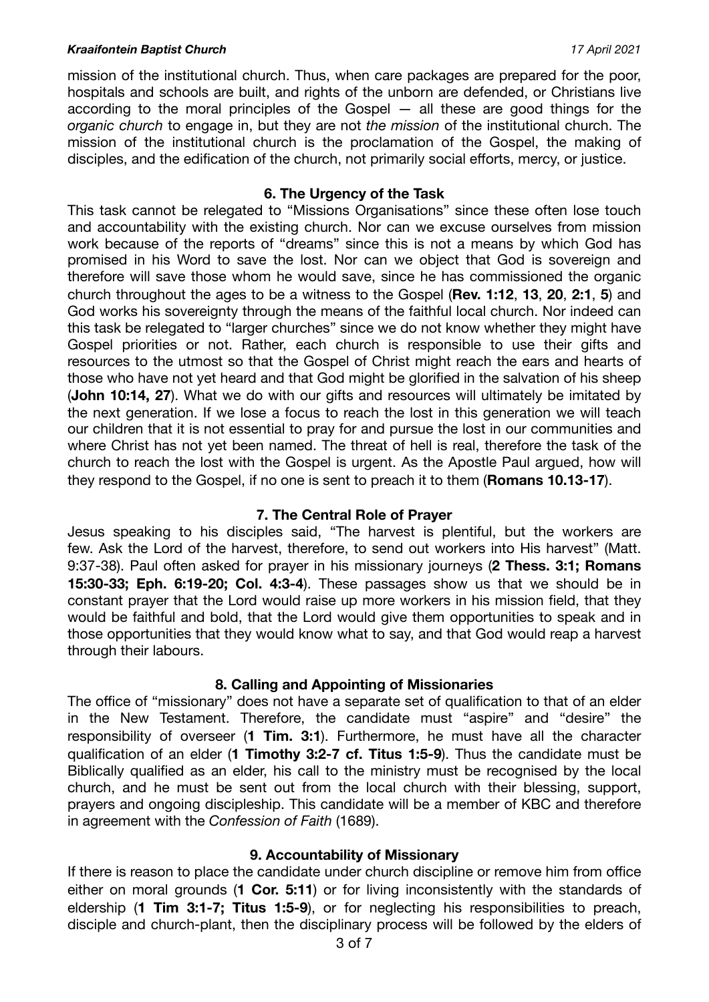#### *Kraaifontein Baptist Church 17 April 2021*

mission of the institutional church. Thus, when care packages are prepared for the poor, hospitals and schools are built, and rights of the unborn are defended, or Christians live according to the moral principles of the Gospel — all these are good things for the *organic church* to engage in, but they are not *the mission* of the institutional church. The mission of the institutional church is the proclamation of the Gospel, the making of disciples, and the edification of the church, not primarily social efforts, mercy, or justice.

### **6. The Urgency of the Task**

This task cannot be relegated to "Missions Organisations" since these often lose touch and accountability with the existing church. Nor can we excuse ourselves from mission work because of the reports of "dreams" since this is not a means by which God has promised in his Word to save the lost. Nor can we object that God is sovereign and therefore will save those whom he would save, since he has commissioned the organic church throughout the ages to be a witness to the Gospel (**Rev. 1:12**, **13**, **20**, **2:1**, **5**) and God works his sovereignty through the means of the faithful local church. Nor indeed can this task be relegated to "larger churches" since we do not know whether they might have Gospel priorities or not. Rather, each church is responsible to use their gifts and resources to the utmost so that the Gospel of Christ might reach the ears and hearts of those who have not yet heard and that God might be glorified in the salvation of his sheep (**John 10:14, 27**). What we do with our gifts and resources will ultimately be imitated by the next generation. If we lose a focus to reach the lost in this generation we will teach our children that it is not essential to pray for and pursue the lost in our communities and where Christ has not yet been named. The threat of hell is real, therefore the task of the church to reach the lost with the Gospel is urgent. As the Apostle Paul argued, how will they respond to the Gospel, if no one is sent to preach it to them (**Romans 10.13-17**).

# **7. The Central Role of Prayer**

Jesus speaking to his disciples said, "The harvest is plentiful, but the workers are few. Ask the Lord of the harvest, therefore, to send out workers into His harvest" (Matt. 9:37-38). Paul often asked for prayer in his missionary journeys (**2 Thess. 3:1; Romans 15:30-33; Eph. 6:19-20; Col. 4:3-4**). These passages show us that we should be in constant prayer that the Lord would raise up more workers in his mission field, that they would be faithful and bold, that the Lord would give them opportunities to speak and in those opportunities that they would know what to say, and that God would reap a harvest through their labours.

# **8. Calling and Appointing of Missionaries**

The office of "missionary" does not have a separate set of qualification to that of an elder in the New Testament. Therefore, the candidate must "aspire" and "desire" the responsibility of overseer (**1 Tim. 3:1**). Furthermore, he must have all the character qualification of an elder (**1 Timothy 3:2-7 cf. Titus 1:5-9**). Thus the candidate must be Biblically qualified as an elder, his call to the ministry must be recognised by the local church, and he must be sent out from the local church with their blessing, support, prayers and ongoing discipleship. This candidate will be a member of KBC and therefore in agreement with the *Confession of Faith* (1689).

# **9. Accountability of Missionary**

If there is reason to place the candidate under church discipline or remove him from office either on moral grounds (**1 Cor. 5:11**) or for living inconsistently with the standards of eldership (**1 Tim 3:1-7; Titus 1:5-9**), or for neglecting his responsibilities to preach, disciple and church-plant, then the disciplinary process will be followed by the elders of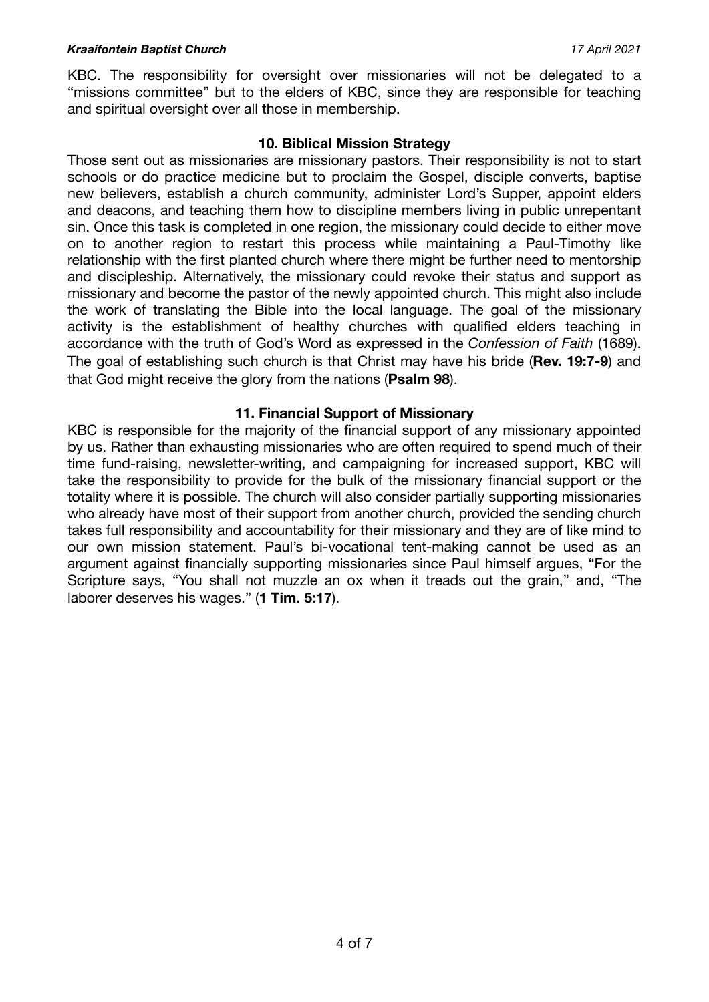#### *Kraaifontein Baptist Church 17 April 2021*

KBC. The responsibility for oversight over missionaries will not be delegated to a "missions committee" but to the elders of KBC, since they are responsible for teaching and spiritual oversight over all those in membership.

### **10. Biblical Mission Strategy**

Those sent out as missionaries are missionary pastors. Their responsibility is not to start schools or do practice medicine but to proclaim the Gospel, disciple converts, baptise new believers, establish a church community, administer Lord's Supper, appoint elders and deacons, and teaching them how to discipline members living in public unrepentant sin. Once this task is completed in one region, the missionary could decide to either move on to another region to restart this process while maintaining a Paul-Timothy like relationship with the first planted church where there might be further need to mentorship and discipleship. Alternatively, the missionary could revoke their status and support as missionary and become the pastor of the newly appointed church. This might also include the work of translating the Bible into the local language. The goal of the missionary activity is the establishment of healthy churches with qualified elders teaching in accordance with the truth of God's Word as expressed in the *Confession of Faith* (1689). The goal of establishing such church is that Christ may have his bride (**Rev. 19:7-9**) and that God might receive the glory from the nations (**Psalm 98**).

# **11. Financial Support of Missionary**

KBC is responsible for the majority of the financial support of any missionary appointed by us. Rather than exhausting missionaries who are often required to spend much of their time fund-raising, newsletter-writing, and campaigning for increased support, KBC will take the responsibility to provide for the bulk of the missionary financial support or the totality where it is possible. The church will also consider partially supporting missionaries who already have most of their support from another church, provided the sending church takes full responsibility and accountability for their missionary and they are of like mind to our own mission statement. Paul's bi-vocational tent-making cannot be used as an argument against financially supporting missionaries since Paul himself argues, "For the Scripture says, "You shall not muzzle an ox when it treads out the grain," and, "The laborer deserves his wages." (**1 Tim. 5:17**).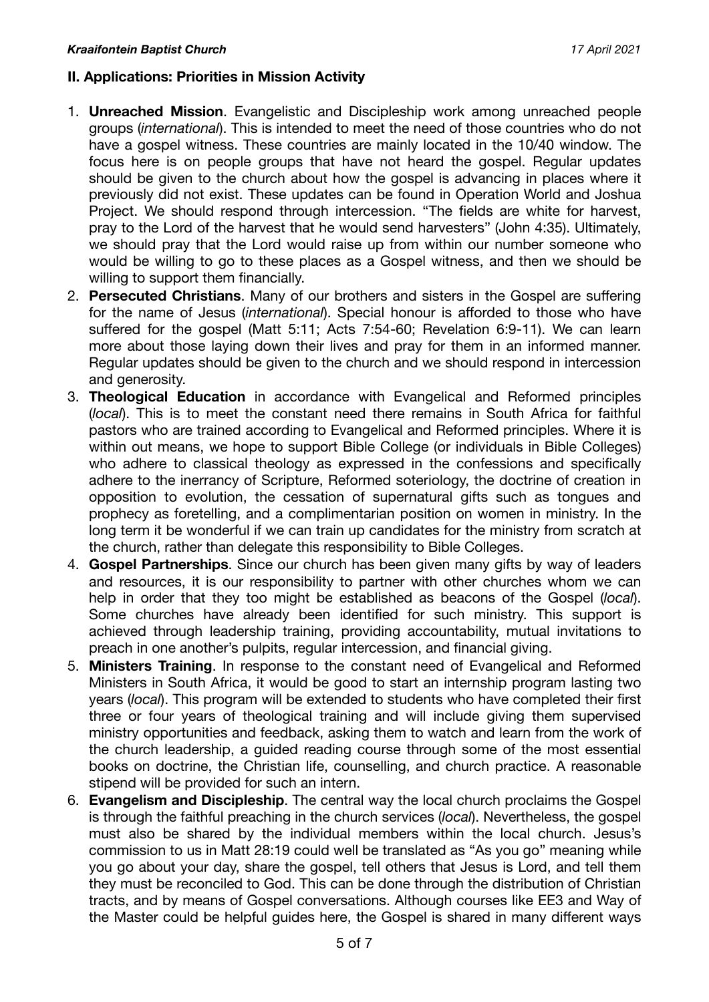# **II. Applications: Priorities in Mission Activity**

- 1. **Unreached Mission**. Evangelistic and Discipleship work among unreached people groups (*international*). This is intended to meet the need of those countries who do not have a gospel witness. These countries are mainly located in the 10/40 window. The focus here is on people groups that have not heard the gospel. Regular updates should be given to the church about how the gospel is advancing in places where it previously did not exist. These updates can be found in Operation World and Joshua Project. We should respond through intercession. "The fields are white for harvest, pray to the Lord of the harvest that he would send harvesters" (John 4:35). Ultimately, we should pray that the Lord would raise up from within our number someone who would be willing to go to these places as a Gospel witness, and then we should be willing to support them financially.
- 2. **Persecuted Christians**. Many of our brothers and sisters in the Gospel are suffering for the name of Jesus (*international*). Special honour is afforded to those who have suffered for the gospel (Matt 5:11; Acts 7:54-60; Revelation 6:9-11). We can learn more about those laying down their lives and pray for them in an informed manner. Regular updates should be given to the church and we should respond in intercession and generosity.
- 3. **Theological Education** in accordance with Evangelical and Reformed principles (*local*). This is to meet the constant need there remains in South Africa for faithful pastors who are trained according to Evangelical and Reformed principles. Where it is within out means, we hope to support Bible College (or individuals in Bible Colleges) who adhere to classical theology as expressed in the confessions and specifically adhere to the inerrancy of Scripture, Reformed soteriology, the doctrine of creation in opposition to evolution, the cessation of supernatural gifts such as tongues and prophecy as foretelling, and a complimentarian position on women in ministry. In the long term it be wonderful if we can train up candidates for the ministry from scratch at the church, rather than delegate this responsibility to Bible Colleges.
- 4. **Gospel Partnerships**. Since our church has been given many gifts by way of leaders and resources, it is our responsibility to partner with other churches whom we can help in order that they too might be established as beacons of the Gospel (*local*). Some churches have already been identified for such ministry. This support is achieved through leadership training, providing accountability, mutual invitations to preach in one another's pulpits, regular intercession, and financial giving.
- 5. **Ministers Training**. In response to the constant need of Evangelical and Reformed Ministers in South Africa, it would be good to start an internship program lasting two years (*local*). This program will be extended to students who have completed their first three or four years of theological training and will include giving them supervised ministry opportunities and feedback, asking them to watch and learn from the work of the church leadership, a guided reading course through some of the most essential books on doctrine, the Christian life, counselling, and church practice. A reasonable stipend will be provided for such an intern.
- 6. **Evangelism and Discipleship**. The central way the local church proclaims the Gospel is through the faithful preaching in the church services (*local*). Nevertheless, the gospel must also be shared by the individual members within the local church. Jesus's commission to us in Matt 28:19 could well be translated as "As you go" meaning while you go about your day, share the gospel, tell others that Jesus is Lord, and tell them they must be reconciled to God. This can be done through the distribution of Christian tracts, and by means of Gospel conversations. Although courses like EE3 and Way of the Master could be helpful guides here, the Gospel is shared in many different ways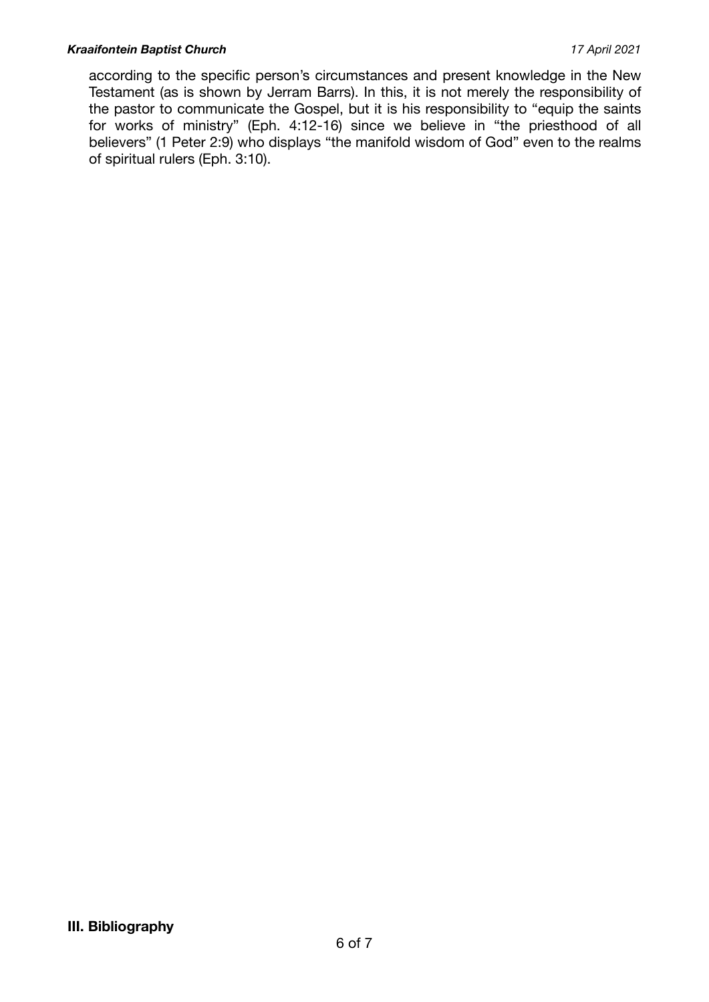according to the specific person's circumstances and present knowledge in the New Testament (as is shown by Jerram Barrs). In this, it is not merely the responsibility of the pastor to communicate the Gospel, but it is his responsibility to "equip the saints for works of ministry" (Eph. 4:12-16) since we believe in "the priesthood of all believers" (1 Peter 2:9) who displays "the manifold wisdom of God" even to the realms of spiritual rulers (Eph. 3:10).